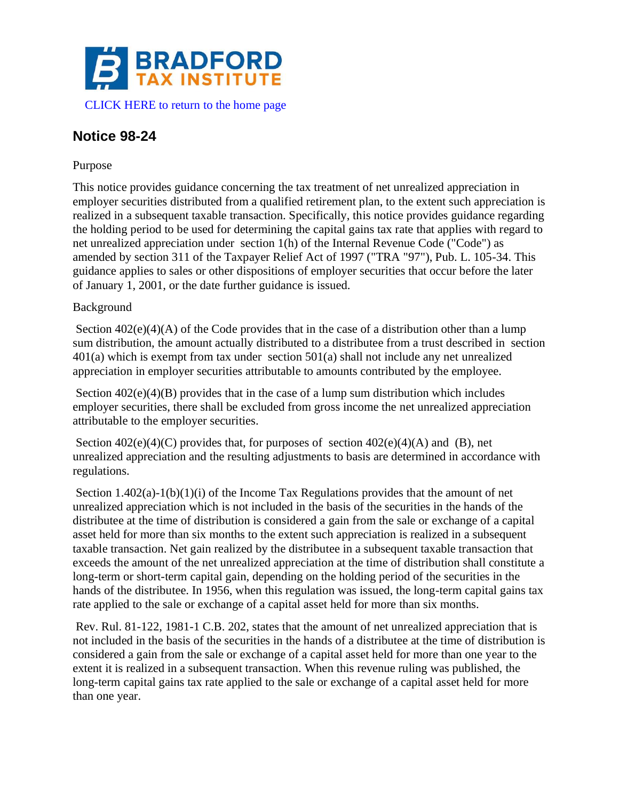

# **Notice 98-24**

## Purpose

This notice provides guidance concerning the tax treatment of net unrealized appreciation in employer securities distributed from a qualified retirement plan, to the extent such appreciation is realized in a subsequent taxable transaction. Specifically, this notice provides guidance regarding the holding period to be used for determining the capital gains tax rate that applies with regard to net unrealized appreciation under section 1(h) of the Internal Revenue Code ("Code") as amended by section 311 of the Taxpayer Relief Act of 1997 ("TRA "97"), Pub. L. 105-34. This guidance applies to sales or other dispositions of employer securities that occur before the later of January 1, 2001, or the date further guidance is issued.

### Background

Section  $402(e)(4)(A)$  of the Code provides that in the case of a distribution other than a lump sum distribution, the amount actually distributed to a distributee from a trust described in section 401(a) which is exempt from tax under section 501(a) shall not include any net unrealized appreciation in employer securities attributable to amounts contributed by the employee.

Section 402(e)(4)(B) provides that in the case of a lump sum distribution which includes employer securities, there shall be excluded from gross income the net unrealized appreciation attributable to the employer securities.

Section  $402(e)(4)(C)$  provides that, for purposes of section  $402(e)(4)(A)$  and (B), net unrealized appreciation and the resulting adjustments to basis are determined in accordance with regulations.

Section  $1.402(a)-1(b)(1)(i)$  of the Income Tax Regulations provides that the amount of net unrealized appreciation which is not included in the basis of the securities in the hands of the distributee at the time of distribution is considered a gain from the sale or exchange of a capital asset held for more than six months to the extent such appreciation is realized in a subsequent taxable transaction. Net gain realized by the distributee in a subsequent taxable transaction that exceeds the amount of the net unrealized appreciation at the time of distribution shall constitute a long-term or short-term capital gain, depending on the holding period of the securities in the hands of the distributee. In 1956, when this regulation was issued, the long-term capital gains tax rate applied to the sale or exchange of a capital asset held for more than six months.

Rev. Rul. 81-122, 1981-1 C.B. 202, states that the amount of net unrealized appreciation that is not included in the basis of the securities in the hands of a distributee at the time of distribution is considered a gain from the sale or exchange of a capital asset held for more than one year to the extent it is realized in a subsequent transaction. When this revenue ruling was published, the long-term capital gains tax rate applied to the sale or exchange of a capital asset held for more than one year.